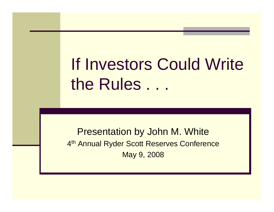If Investors Could Write the Rules . . .

Presentation by John M. White 4<sup>th</sup> Annual Ryder Scott Reserves Conference May 9, 2008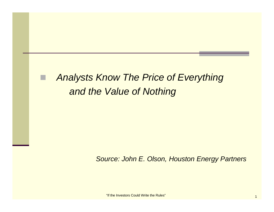#### *Analysts Know The Price of Everything and the Value of Nothing*

*Source: John E. Olson, Houston Energy Partners*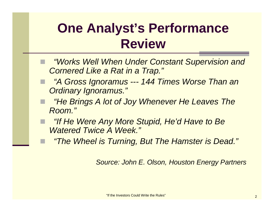### **One Analyst's Performance Review**

- *"Works Well When Under Constant Supervision and Cornered Like a Rat in a Trap."*
- *"A Gross Ignoramus --- 144 Times Worse Than an Ordinary Ignoramus."*
- *"He Brings A lot of Joy Whenever He Leaves The Room."*
- *"If He Were Any More Stupid, He'd Have to Be Watered Twice A Week."*
	- *"The Wheel is Turning, But The Hamster is Dead."*

*Source: John E. Olson, Houston Energy Partners*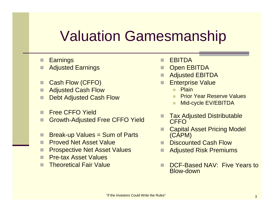# Valuation Gamesmanship

- H **Earnings**
- П Adjusted Earnings
- Cash Flow (CFFO)
- Adjusted Cash Flow
- Debt Adjusted Cash Flow
- H Free CFFO Yield
- П Growth-Adjusted Free CFFO Yield
- Break-up Values = Sum of Parts
- Proved Net Asset Value
- Prospective Net Asset Values
- H Pre-tax Asset Values
- П Theoretical Fair Value
- П **FBITDA**
- Open EBITDA
- Adjusted EBITDA
- Enterprise Value
	- Plain
	- Prior Year Reserve Values
	- Mid-cycle EV/EBITDA
- Tax Adjusted Distributable **CFFO**
- Capital Asset Pricing Model (CAPM)
- Discounted Cash Flow
- Adjusted Risk Premiums
- H DCF-Based NAV: Five Years to Blow-down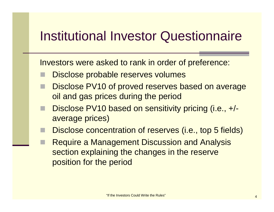### Institutional Investor Questionnaire

Investors were asked to rank in order of preference:

- Disclose probable reserves volumes
- Disclose PV10 of proved reserves based on average oil and gas prices during the period
- Disclose PV10 based on sensitivity pricing (i.e., +/ average prices)
- Disclose concentration of reserves (i.e., top 5 fields)
- Require a Management Discussion and Analysis section explaining the changes in the reserve position for the period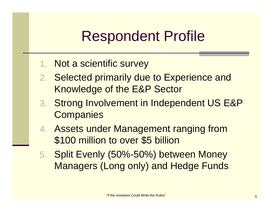# Respondent Profile

- 1. Not a scientific survey
- 2. Selected primarily due to Experience and Knowledge of the E&P Sector
- 3. Strong Involvement in Independent US E&P **Companies**
- 4. Assets under Management ranging from \$100 million to over \$5 billion
- 5. Split Evenly (50%-50%) between Money Managers (Long only) and Hedge Funds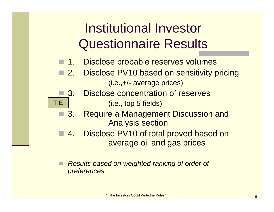## Institutional Investor Questionnaire Results

- $\blacksquare$  1. Disclose probable reserves volumes
- $\Box$  2. **Disclose PV10 based on sensitivity pricing** (i.e.,+/- average prices)
- $\Box$  3. Disclose concentration of reserves (i.e., top 5 fields)

TIE

- $\Box$  3. 3. Require a Management Discussion and Analysis section
- $\Box$  4. Disclose PV10 of total proved based on average oil and gas prices
- *Results based on weighted ranking of order of preferences*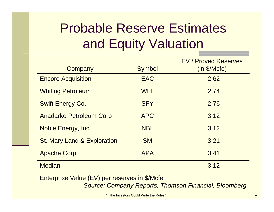## Probable Reserve Estimates and Equity Valuation

| Company                                | Symbol     | <b>EV / Proved Reserves</b><br>(in \$/Mcfe) |
|----------------------------------------|------------|---------------------------------------------|
| <b>Encore Acquisition</b>              | <b>EAC</b> | 2.62                                        |
| <b>Whiting Petroleum</b>               | <b>WLL</b> | 2.74                                        |
| <b>Swift Energy Co.</b>                | <b>SFY</b> | 2.76                                        |
| <b>Anadarko Petroleum Corp</b>         | <b>APC</b> | 3.12                                        |
| Noble Energy, Inc.                     | <b>NBL</b> | 3.12                                        |
| <b>St. Mary Land &amp; Exploration</b> | <b>SM</b>  | 3.21                                        |
| <b>Apache Corp.</b>                    | <b>APA</b> | 3.41                                        |
| <b>Median</b>                          |            | 3.12                                        |

Enterprise Value (EV) per reserves in \$/Mcfe *Source: Company Reports, Thomson Financial, Bloomberg*

"If the Investors Could Write the Rules"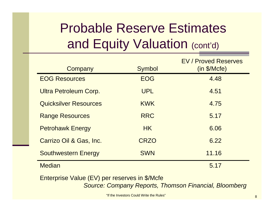## Probable Reserve Estimates and Equity Valuation (cont'd)

| Company                      | Symbol      | <b>EV / Proved Reserves</b><br>(in \$/Mcfe) |
|------------------------------|-------------|---------------------------------------------|
| <b>EOG Resources</b>         | <b>EOG</b>  | 4.48                                        |
| Ultra Petroleum Corp.        | <b>UPL</b>  | 4.51                                        |
| <b>Quicksilver Resources</b> | <b>KWK</b>  | 4.75                                        |
| <b>Range Resources</b>       | <b>RRC</b>  | 5.17                                        |
| <b>Petrohawk Energy</b>      | HK          | 6.06                                        |
| Carrizo Oil & Gas, Inc.      | <b>CRZO</b> | 6.22                                        |
| <b>Southwestern Energy</b>   | <b>SWN</b>  | 11.16                                       |
| <b>Median</b>                |             | 5.17                                        |

Enterprise Value (EV) per reserves in \$/Mcfe *Source: Company Reports, Thomson Financial, Bloomberg*

"If the Investors Could Write the Rules"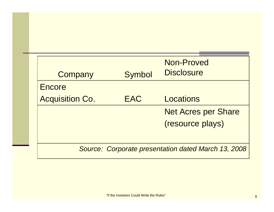| Company                | Symbol     | Non-Proved<br><b>Disclosure</b>                            |
|------------------------|------------|------------------------------------------------------------|
| Encore                 |            |                                                            |
| <b>Acquisition Co.</b> | <b>EAC</b> | Locations                                                  |
|                        |            | <b>Net Acres per Share</b>                                 |
|                        |            | (resource plays)                                           |
|                        |            |                                                            |
|                        |            | <b>Source: Corporate presentation dated March 13, 2008</b> |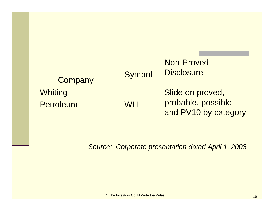| Company                     | Symbol     | Non-Proved<br><b>Disclosure</b>                                 |
|-----------------------------|------------|-----------------------------------------------------------------|
| Whiting<br><b>Petroleum</b> | <b>WLL</b> | Slide on proved,<br>probable, possible,<br>and PV10 by category |
|                             |            | Source: Corporate presentation dated April 1, 2008              |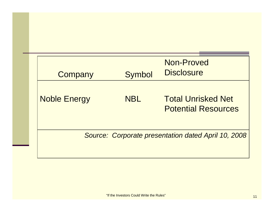| Company             | Symbol     | Non-Proved<br><b>Disclosure</b>                         |
|---------------------|------------|---------------------------------------------------------|
| <b>Noble Energy</b> | <b>NBL</b> | <b>Total Unrisked Net</b><br><b>Potential Resources</b> |
|                     |            | Source: Corporate presentation dated April 10, 2008     |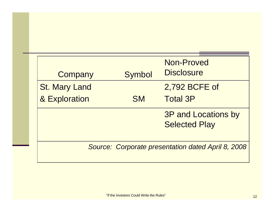| Company              | Symbol    | Non-Proved<br><b>Disclosure</b>                    |
|----------------------|-----------|----------------------------------------------------|
| <b>St. Mary Land</b> |           | 2,792 BCFE of                                      |
| & Exploration        | <b>SM</b> | <b>Total 3P</b>                                    |
|                      |           | <b>3P and Locations by</b><br><b>Selected Play</b> |
|                      |           | Source: Corporate presentation dated April 8, 2008 |
|                      |           |                                                    |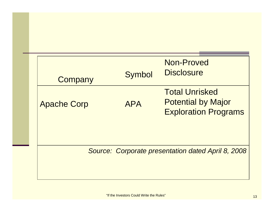| Company            | Symbol     | Non-Proved<br><b>Disclosure</b>                                                   |
|--------------------|------------|-----------------------------------------------------------------------------------|
| <b>Apache Corp</b> | <b>APA</b> | <b>Total Unrisked</b><br><b>Potential by Major</b><br><b>Exploration Programs</b> |
|                    |            | Source: Corporate presentation dated April 8, 2008                                |
|                    |            |                                                                                   |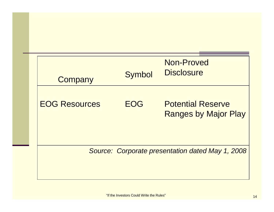| Company              | Symbol     | Non-Proved<br><b>Disclosure</b>                         |
|----------------------|------------|---------------------------------------------------------|
| <b>EOG Resources</b> | <b>FOG</b> | <b>Potential Reserve</b><br><b>Ranges by Major Play</b> |
|                      |            | Source: Corporate presentation dated May 1, 2008        |
|                      |            |                                                         |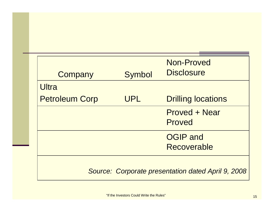| Company               | <b>Symbol</b> | Non-Proved<br><b>Disclosure</b>                    |
|-----------------------|---------------|----------------------------------------------------|
| Ultra                 |               |                                                    |
| <b>Petroleum Corp</b> | UPL           | <b>Drilling locations</b>                          |
|                       |               | <b>Proved + Near</b>                               |
|                       |               | Proved                                             |
|                       |               | <b>OGIP</b> and                                    |
|                       |               | Recoverable                                        |
|                       |               |                                                    |
|                       |               | Source: Corporate presentation dated April 9, 2008 |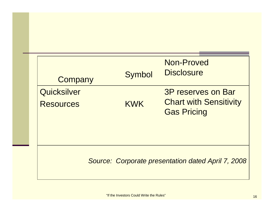| Company                         | <b>Symbol</b> | Non-Proved<br><b>Disclosure</b>                                                  |
|---------------------------------|---------------|----------------------------------------------------------------------------------|
| Quicksilver<br><b>Resources</b> | <b>KWK</b>    | <b>3P reserves on Bar</b><br><b>Chart with Sensitivity</b><br><b>Gas Pricing</b> |
|                                 |               | <b>Source: Corporate presentation dated April 7, 2008</b>                        |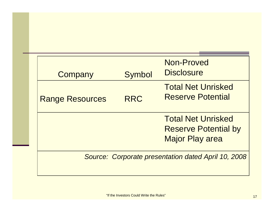| Company                | <b>Symbol</b> | Non-Proved<br><b>Disclosure</b>                                                    |
|------------------------|---------------|------------------------------------------------------------------------------------|
| <b>Range Resources</b> | <b>RRC</b>    | <b>Total Net Unrisked</b><br><b>Reserve Potential</b>                              |
|                        |               | <b>Total Net Unrisked</b><br><b>Reserve Potential by</b><br><b>Major Play area</b> |
|                        |               | Source: Corporate presentation dated April 10, 2008                                |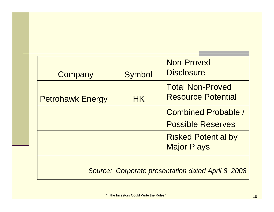| Company                 | <b>Symbol</b> | Non-Proved<br><b>Disclosure</b>                      |
|-------------------------|---------------|------------------------------------------------------|
| <b>Petrohawk Energy</b> | <b>HK</b>     | <b>Total Non-Proved</b><br><b>Resource Potential</b> |
|                         |               | <b>Combined Probable /</b>                           |
|                         |               | <b>Possible Reserves</b>                             |
|                         |               | <b>Risked Potential by</b><br><b>Major Plays</b>     |
|                         |               | Source: Corporate presentation dated April 8, 2008   |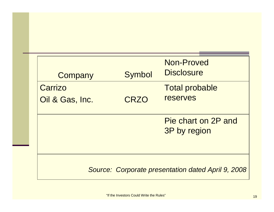| Company                                                   | Symbol | Non-Proved<br><b>Disclosure</b> |
|-----------------------------------------------------------|--------|---------------------------------|
| Carrizo                                                   |        | <b>Total probable</b>           |
| Oil & Gas, Inc.                                           | CRZO   | <b>reserves</b>                 |
|                                                           |        |                                 |
|                                                           |        | Pie chart on 2P and             |
|                                                           |        | 3P by region                    |
|                                                           |        |                                 |
|                                                           |        |                                 |
| <b>Source: Corporate presentation dated April 9, 2008</b> |        |                                 |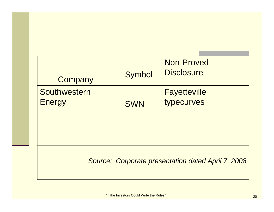| Company                                            | <b>Symbol</b> | Non-Proved<br><b>Disclosure</b>   |  |
|----------------------------------------------------|---------------|-----------------------------------|--|
| Southwestern<br><b>Energy</b>                      | <b>SWN</b>    | <b>Fayetteville</b><br>typecurves |  |
| Source: Corporate presentation dated April 7, 2008 |               |                                   |  |